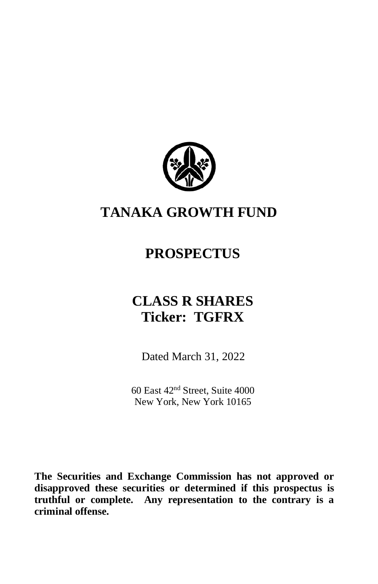

# **TANAKA GROWTH FUND**

# **PROSPECTUS**

# **CLASS R SHARES Ticker: TGFRX**

Dated March 31, 2022

60 East 42nd Street, Suite 4000 New York, New York 10165

**The Securities and Exchange Commission has not approved or disapproved these securities or determined if this prospectus is truthful or complete. Any representation to the contrary is a criminal offense.**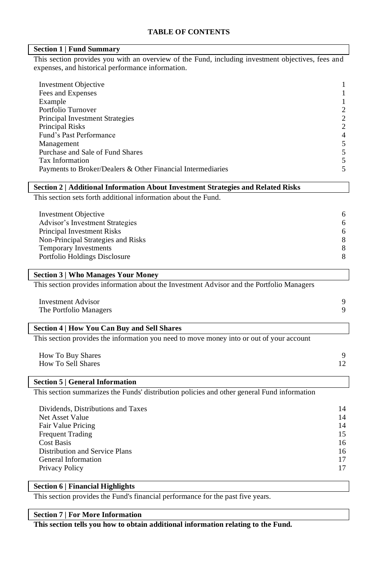#### **Section 1 | Fund Summary**

This section provides you with an overview of the Fund, including investment objectives, fees and expenses, and historical performance information.

| <b>Investment Objective</b>                                 |                |
|-------------------------------------------------------------|----------------|
| Fees and Expenses                                           |                |
| Example                                                     |                |
| Portfolio Turnover                                          | 2              |
| Principal Investment Strategies                             | 2              |
| Principal Risks                                             | $\overline{c}$ |
| Fund's Past Performance                                     | 4              |
| Management                                                  |                |
| Purchase and Sale of Fund Shares                            |                |
| Tax Information                                             |                |
| Payments to Broker/Dealers & Other Financial Intermediaries |                |

#### **Section 2 | Additional Information About Investment Strategies and Related Risks**

| This section sets forth additional information about the Fund. |  |
|----------------------------------------------------------------|--|
|----------------------------------------------------------------|--|

| <b>Investment Objective</b>        | 6 |
|------------------------------------|---|
| Advisor's Investment Strategies    | 6 |
| Principal Investment Risks         | 6 |
| Non-Principal Strategies and Risks | 8 |
| <b>Temporary Investments</b>       | 8 |
| Portfolio Holdings Disclosure      | 8 |
|                                    |   |

#### **Section 3 | Who Manages Your Money**

This section provides information about the Investment Advisor and the Portfolio Managers

## **Section 4 | How You Can Buy and Sell Shares**

This section provides the information you need to move money into or out of your account

How To Buy Shares 9 How To Sell Shares 12

#### **Section 5 | General Information**

This section summarizes the Funds' distribution policies and other general Fund information

| Dividends, Distributions and Taxes | 14 |
|------------------------------------|----|
| Net Asset Value                    | 14 |
| Fair Value Pricing                 | 14 |
| <b>Frequent Trading</b>            | 15 |
| <b>Cost Basis</b>                  | 16 |
| Distribution and Service Plans     | 16 |
| General Information                | 17 |
| Privacy Policy                     |    |
|                                    |    |

#### **Section 6 | Financial Highlights**

This section provides the Fund's financial performance for the past five years.

#### **Section 7 | For More Information**

**This section tells you how to obtain additional information relating to the Fund.**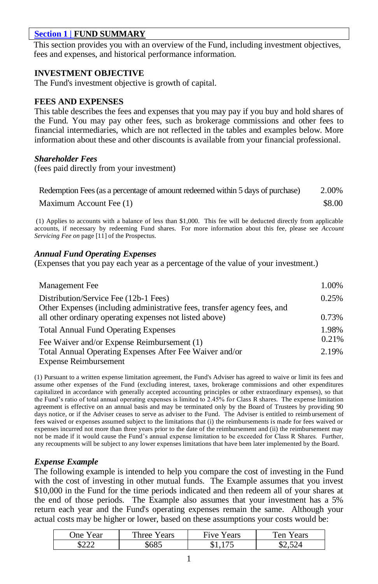# **Section 1 | FUND SUMMARY**

This section provides you with an overview of the Fund, including investment objectives, fees and expenses, and historical performance information.

## **INVESTMENT OBJECTIVE**

The Fund's investment objective is growth of capital.

#### **FEES AND EXPENSES**

This table describes the fees and expenses that you may pay if you buy and hold shares of the Fund. You may pay other fees, such as brokerage commissions and other fees to financial intermediaries, which are not reflected in the tables and examples below. More information about these and other discounts is available from your financial professional.

#### *Shareholder Fees*

(fees paid directly from your investment)

| Redemption Fees (as a percentage of amount redeemed within 5 days of purchase) | 2.00%  |
|--------------------------------------------------------------------------------|--------|
| Maximum Account Fee (1)                                                        | \$8.00 |

(1) Applies to accounts with a balance of less than \$1,000. This fee will be deducted directly from applicable accounts, if necessary by redeeming Fund shares. For more information about this fee, please see *Account Servicing Fee on* page [11] of the Prospectus.

#### *Annual Fund Operating Expenses*

(Expenses that you pay each year as a percentage of the value of your investment.)

| Management Fee                                                                                                    | 1.00% |
|-------------------------------------------------------------------------------------------------------------------|-------|
| Distribution/Service Fee (12b-1 Fees)<br>Other Expenses (including administrative fees, transfer agency fees, and | 0.25% |
| all other ordinary operating expenses not listed above)                                                           | 0.73% |
| <b>Total Annual Fund Operating Expenses</b>                                                                       | 1.98% |
| Fee Waiver and/or Expense Reimbursement (1)                                                                       | 0.21% |
| Total Annual Operating Expenses After Fee Waiver and/or                                                           | 2.19% |
| <b>Expense Reimbursement</b>                                                                                      |       |

(1) Pursuant to a written expense limitation agreement, the Fund's Adviser has agreed to waive or limit its fees and assume other expenses of the Fund (excluding interest, taxes, brokerage commissions and other expenditures capitalized in accordance with generally accepted accounting principles or other extraordinary expenses), so that the Fund's ratio of total annual operating expenses is limited to 2.45% for Class R shares. The expense limitation agreement is effective on an annual basis and may be terminated only by the Board of Trustees by providing 90 days notice, or if the Adviser ceases to serve as adviser to the Fund. The Adviser is entitled to reimb ursement of fees waived or expenses assumed subject to the limitations that (i) the reimbursements is made for fees waived or expenses incurred not more than three years prior to the date of the reimbursement and (ii) the reimbursement may not be made if it would cause the Fund's annual expense limitation to be exceeded for Class R Shares. Further, any recoupments will be subject to any lower expenses limitations that have been later implemented by the Board.

#### *Expense Example*

The following example is intended to help you compare the cost of investing in the Fund with the cost of investing in other mutual funds. The Example assumes that you invest \$10,000 in the Fund for the time periods indicated and then redeem all of your shares at the end of those periods. The Example also assumes that your investment has a 5% return each year and the Fund's operating expenses remain the same. Although your actual costs may be higher or lower, based on these assumptions your costs would be:

| One   | Three  | Five | Ten   |
|-------|--------|------|-------|
| ear   | r ears | ears | ears' |
| \$222 | \$685  |      |       |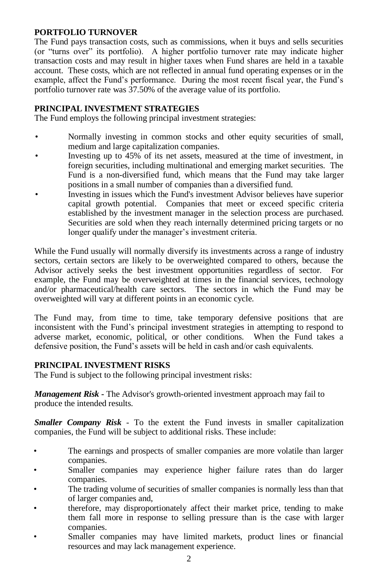# **PORTFOLIO TURNOVER**

The Fund pays transaction costs, such as commissions, when it buys and sells securities (or "turns over" its portfolio). A higher portfolio turnover rate may indicate higher transaction costs and may result in higher taxes when Fund shares are held in a taxable account. These costs, which are not reflected in annual fund operating expenses or in the example, affect the Fund's performance. During the most recent fiscal year, the Fund's portfolio turnover rate was 37.50% of the average value of its portfolio.

# **PRINCIPAL INVESTMENT STRATEGIES**

The Fund employs the following principal investment strategies:

- Normally investing in common stocks and other equity securities of small, medium and large capitalization companies.
- Investing up to 45% of its net assets, measured at the time of investment, in foreign securities, including multinational and emerging market securities. The Fund is a non-diversified fund, which means that the Fund may take larger positions in a small number of companies than a diversified fund.
- Investing in issues which the Fund's investment Advisor believes have superior capital growth potential. Companies that meet or exceed specific criteria established by the investment manager in the selection process are purchased. Securities are sold when they reach internally determined pricing targets or no longer qualify under the manager's investment criteria.

While the Fund usually will normally diversify its investments across a range of industry sectors, certain sectors are likely to be overweighted compared to others, because the Advisor actively seeks the best investment opportunities regardless of sector. For example, the Fund may be overweighted at times in the financial services, technology and/or pharmaceutical/health care sectors. The sectors in which the Fund may be overweighted will vary at different points in an economic cycle.

The Fund may, from time to time, take temporary defensive positions that are inconsistent with the Fund's principal investment strategies in attempting to respond to adverse market, economic, political, or other conditions. When the Fund takes a defensive position, the Fund's assets will be held in cash and/or cash equivalents.

# **PRINCIPAL INVESTMENT RISKS**

The Fund is subject to the following principal investment risks:

*Management Risk* **-** The Advisor's growth-oriented investment approach may fail to produce the intended results.

*Smaller Company Risk -* To the extent the Fund invests in smaller capitalization companies, the Fund will be subject to additional risks. These include:

- The earnings and prospects of smaller companies are more volatile than larger companies.
- Smaller companies may experience higher failure rates than do larger companies.
- The trading volume of securities of smaller companies is normally less than that of larger companies and,
- therefore, may disproportionately affect their market price, tending to make them fall more in response to selling pressure than is the case with larger companies.
- Smaller companies may have limited markets, product lines or financial resources and may lack management experience.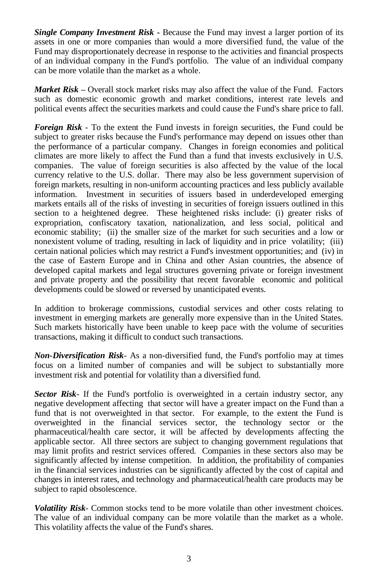*Single Company Investment Risk* **-** Because the Fund may invest a larger portion of its assets in one or more companies than would a more diversified fund, the value of the Fund may disproportionately decrease in response to the activities and financial prospects of an individual company in the Fund's portfolio. The value of an individual company can be more volatile than the market as a whole.

*Market Risk* **–** Overall stock market risks may also affect the value of the Fund. Factors such as domestic economic growth and market conditions, interest rate levels and political events affect the securities markets and could cause the Fund's share price to fall.

*Foreign Risk -* To the extent the Fund invests in foreign securities, the Fund could be subject to greater risks because the Fund's performance may depend on issues other than the performance of a particular company. Changes in foreign economies and political climates are more likely to affect the Fund than a fund that invests exclusively in U.S. companies. The value of foreign securities is also affected by the value of the local currency relative to the U.S. dollar. There may also be less government supervision of foreign markets, resulting in non-uniform accounting practices and less publicly available information. Investment in securities of issuers based in underdeveloped emerging markets entails all of the risks of investing in securities of foreign issuers outlined in this section to a heightened degree. These heightened risks include: (i) greater risks of expropriation, confiscatory taxation, nationalization, and less social, political and economic stability; (ii) the smaller size of the market for such securities and a low or nonexistent volume of trading, resulting in lack of liquidity and in price volatility; (iii) certain national policies which may restrict a Fund's investment opportunities; and (iv) in the case of Eastern Europe and in China and other Asian countries, the absence of developed capital markets and legal structures governing private or foreign investment and private property and the possibility that recent favorable economic and political developments could be slowed or reversed by unanticipated events.

In addition to brokerage commissions, custodial services and other costs relating to investment in emerging markets are generally more expensive than in the United States. Such markets historically have been unable to keep pace with the volume of securities transactions, making it difficult to conduct such transactions.

*Non-Diversification Risk-* As a non-diversified fund, the Fund's portfolio may at times focus on a limited number of companies and will be subject to substantially more investment risk and potential for volatility than a diversified fund.

*Sector Risk-* If the Fund's portfolio is overweighted in a certain industry sector, any negative development affecting that sector will have a greater impact on the Fund than a fund that is not overweighted in that sector. For example, to the extent the Fund is overweighted in the financial services sector, the technology sector or the pharmaceutical/health care sector, it will be affected by developments affecting the applicable sector. All three sectors are subject to changing government regulations that may limit profits and restrict services offered. Companies in these sectors also may be significantly affected by intense competition. In addition, the profitability of companies in the financial services industries can be significantly affected by the cost of capital and changes in interest rates, and technology and pharmaceutical/health care products may be subject to rapid obsolescence.

*Volatility Risk-* Common stocks tend to be more volatile than other investment choices. The value of an individual company can be more volatile than the market as a whole. This volatility affects the value of the Fund's shares.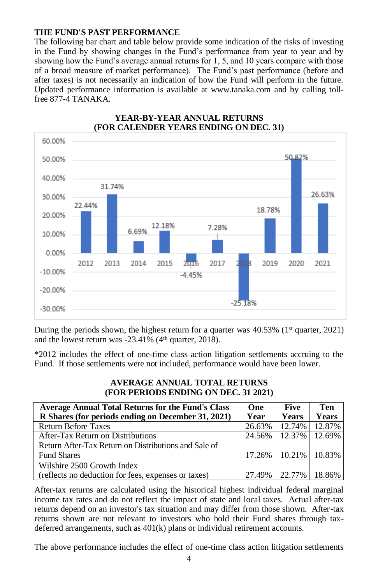# **THE FUND'S PAST PERFORMANCE**

The following bar chart and table below provide some indication of the risks of investing in the Fund by showing changes in the Fund's performance from year to year and by showing how the Fund's average annual returns for 1, 5, and 10 years compare with those of a broad measure of market performance). The Fund's past performance (before and after taxes) is not necessarily an indication of how the Fund will perform in the future. Updated performance information is available at www.tanaka.com and by calling tollfree 877-4 TANAKA.



## **YEAR-BY-YEAR ANNUAL RETURNS (FOR CALENDER YEARS ENDING ON DEC. 31)**

During the periods shown, the highest return for a quarter was  $40.53\%$  (1<sup>st</sup> quarter, 2021) and the lowest return was  $-23.41\%$  (4<sup>th</sup> quarter, 2018).

\*2012 includes the effect of one-time class action litigation settlements accruing to the Fund. If those settlements were not included, performance would have been lower.

#### **AVERAGE ANNUAL TOTAL RETURNS (FOR PERIODS ENDING ON DEC. 31 2021)**

| <b>Average Annual Total Returns for the Fund's Class</b> | One    | <b>Five</b>              | Ten          |
|----------------------------------------------------------|--------|--------------------------|--------------|
| R Shares (for periods ending on December 31, 2021)       | Year   | <b>Years</b>             | <b>Years</b> |
| <b>Return Before Taxes</b>                               | 26.63% | 12.74%                   | 12.87%       |
| After-Tax Return on Distributions                        | 24.56% | 12.37%                   | 12.69%       |
| Return After-Tax Return on Distributions and Sale of     |        |                          |              |
| <b>Fund Shares</b>                                       | 17.26% | 10.21\%                  | 10.83%       |
| Wilshire 2500 Growth Index                               |        |                          |              |
| (reflects no deduction for fees, expenses or taxes)      |        | 27.49%   22.77%   18.86% |              |

After-tax returns are calculated using the historical highest individual federal marginal income tax rates and do not reflect the impact of state and local taxes. Actual after-tax returns depend on an investor's tax situation and may differ from those shown. After-tax returns shown are not relevant to investors who hold their Fund shares through taxdeferred arrangements, such as 401(k) plans or individual retirement accounts.

The above performance includes the effect of one-time class action litigation settlements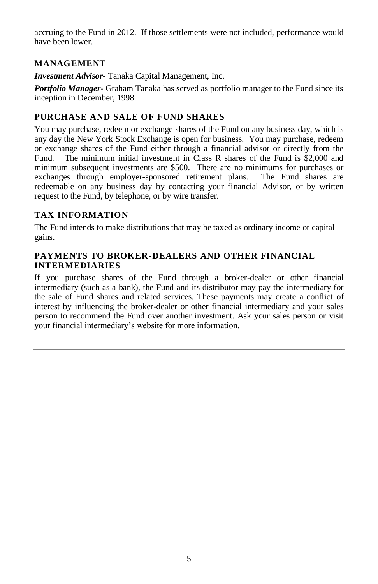accruing to the Fund in 2012. If those settlements were not included, performance would have been lower.

# **MANAGEMENT**

*Investment Advisor*- Tanaka Capital Management, Inc.

*Portfolio Manager***-** Graham Tanaka has served as portfolio manager to the Fund since its inception in December, 1998.

# **PURCHASE AND SALE OF FUND SHARES**

You may purchase, redeem or exchange shares of the Fund on any business day, which is any day the New York Stock Exchange is open for business. You may purchase, redeem or exchange shares of the Fund either through a financial advisor or directly from the Fund. The minimum initial investment in Class R shares of the Fund is \$2,000 and minimum subsequent investments are \$500. There are no minimums for purchases or exchanges through employer-sponsored retirement plans. The Fund shares are redeemable on any business day by contacting your financial Advisor, or by written request to the Fund, by telephone, or by wire transfer.

# **TAX INFORMATION**

The Fund intends to make distributions that may be taxed as ordinary income or capital gains.

# **PAYMENTS TO BROKER-DEALERS AND OTHER FINANCIAL INTERMEDIARIES**

If you purchase shares of the Fund through a broker-dealer or other financial intermediary (such as a bank), the Fund and its distributor may pay the intermediary for the sale of Fund shares and related services. These payments may create a conflict of interest by influencing the broker-dealer or other financial intermediary and your sales person to recommend the Fund over another investment. Ask your sales person or visit your financial intermediary's website for more information.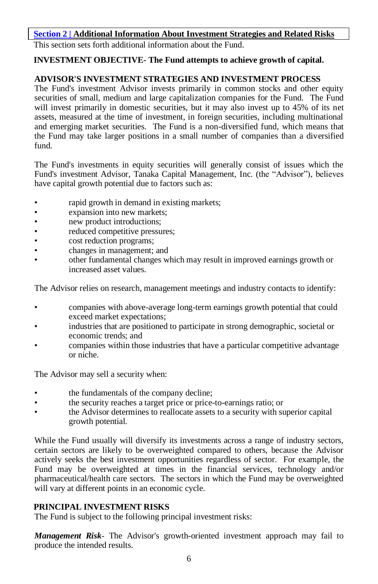# **Section 2 | Additional Information About Investment Strategies and Related Risks**

This section sets forth additional information about the Fund.

# **INVESTMENT OBJECTIVE- The Fund attempts to achieve growth of capital.**

# **ADVISOR'S INVESTMENT STRATEGIES AND INVESTMENT PROCESS**

The Fund's investment Advisor invests primarily in common stocks and other equity securities of small, medium and large capitalization companies for the Fund. The Fund will invest primarily in domestic securities, but it may also invest up to 45% of its net assets, measured at the time of investment, in foreign securities, including multinational and emerging market securities. The Fund is a non-diversified fund, which means that the Fund may take larger positions in a small number of companies than a diversified fund.

The Fund's investments in equity securities will generally consist of issues which the Fund's investment Advisor, Tanaka Capital Management, Inc. (the "Advisor"), believes have capital growth potential due to factors such as:

- rapid growth in demand in existing markets;
- expansion into new markets;
- new product introductions;
- reduced competitive pressures;<br>• cost reduction programs;
- cost reduction programs;
- changes in management; and
- other fundamental changes which may result in improved earnings growth or increased asset values.

The Advisor relies on research, management meetings and industry contacts to identify:

- companies with above-average long-term earnings growth potential that could exceed market expectations;
- industries that are positioned to participate in strong demographic, societal or economic trends; and
- companies within those industries that have a particular competitive advantage or niche.

The Advisor may sell a security when:

- the fundamentals of the company decline;
- the security reaches a target price or price-to-earnings ratio; or
- the Advisor determines to reallocate assets to a security with superior capital growth potential.

While the Fund usually will diversify its investments across a range of industry sectors, certain sectors are likely to be overweighted compared to others, because the Advisor actively seeks the best investment opportunities regardless of sector. For example, the Fund may be overweighted at times in the financial services, technology and/or pharmaceutical/health care sectors. The sectors in which the Fund may be overweighted will vary at different points in an economic cycle.

# **PRINCIPAL INVESTMENT RISKS**

The Fund is subject to the following principal investment risks:

*Management Risk-* The Advisor's growth-oriented investment approach may fail to produce the intended results.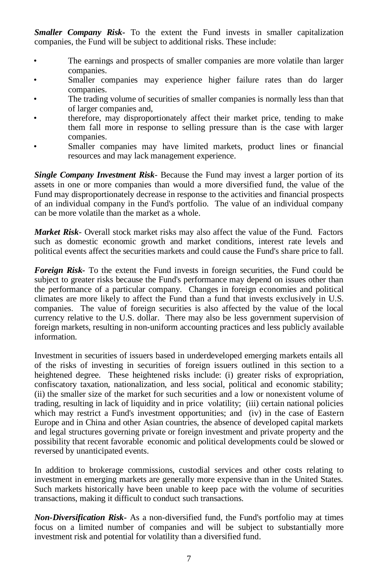*Smaller Company Risk-* To the extent the Fund invests in smaller capitalization companies, the Fund will be subject to additional risks. These include:

- The earnings and prospects of smaller companies are more volatile than larger companies.
- Smaller companies may experience higher failure rates than do larger companies.
- The trading volume of securities of smaller companies is normally less than that of larger companies and,
- therefore, may disproportionately affect their market price, tending to make them fall more in response to selling pressure than is the case with larger companies.
- Smaller companies may have limited markets, product lines or financial resources and may lack management experience.

*Single Company Investment Risk-* Because the Fund may invest a larger portion of its assets in one or more companies than would a more diversified fund, the value of the Fund may disproportionately decrease in response to the activities and financial prospects of an individual company in the Fund's portfolio. The value of an individual company can be more volatile than the market as a whole.

*Market Risk-* Overall stock market risks may also affect the value of the Fund. Factors such as domestic economic growth and market conditions, interest rate levels and political events affect the securities markets and could cause the Fund's share price to fall.

*Foreign Risk-* To the extent the Fund invests in foreign securities, the Fund could be subject to greater risks because the Fund's performance may depend on issues other than the performance of a particular company. Changes in foreign economies and political climates are more likely to affect the Fund than a fund that invests exclusively in U.S. companies. The value of foreign securities is also affected by the value of the local currency relative to the U.S. dollar. There may also be less government supervision of foreign markets, resulting in non-uniform accounting practices and less publicly available information.

Investment in securities of issuers based in underdeveloped emerging markets entails all of the risks of investing in securities of foreign issuers outlined in this section to a heightened degree. These heightened risks include: (i) greater risks of expropriation, confiscatory taxation, nationalization, and less social, political and economic stability; (ii) the smaller size of the market for such securities and a low or nonexistent volume of trading, resulting in lack of liquidity and in price volatility; (iii) certain national policies which may restrict a Fund's investment opportunities; and (iv) in the case of Eastern Europe and in China and other Asian countries, the absence of developed capital markets and legal structures governing private or foreign investment and private property and the possibility that recent favorable economic and political developments could be slowed or reversed by unanticipated events.

In addition to brokerage commissions, custodial services and other costs relating to investment in emerging markets are generally more expensive than in the United States. Such markets historically have been unable to keep pace with the volume of securities transactions, making it difficult to conduct such transactions.

*Non-Diversification Risk-* As a non-diversified fund, the Fund's portfolio may at times focus on a limited number of companies and will be subject to substantially more investment risk and potential for volatility than a diversified fund.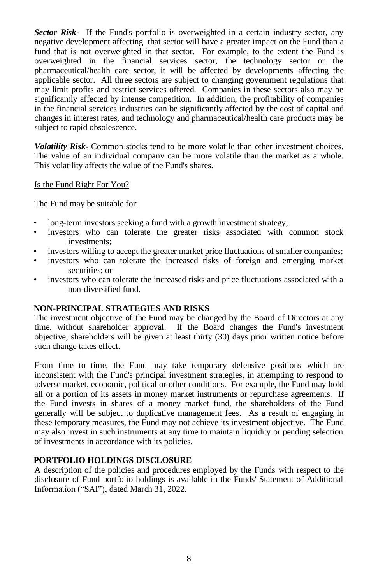*Sector Risk-* If the Fund's portfolio is overweighted in a certain industry sector, any negative development affecting that sector will have a greater impact on the Fund than a fund that is not overweighted in that sector. For example, to the extent the Fund is overweighted in the financial services sector, the technology sector or the pharmaceutical/health care sector, it will be affected by developments affecting the applicable sector. All three sectors are subject to changing government regulations that may limit profits and restrict services offered. Companies in these sectors also may be significantly affected by intense competition. In addition, the profitability of companies in the financial services industries can be significantly affected by the cost of capital and changes in interest rates, and technology and pharmaceutical/health care products may be subject to rapid obsolescence.

*Volatility Risk-* Common stocks tend to be more volatile than other investment choices. The value of an individual company can be more volatile than the market as a whole. This volatility affects the value of the Fund's shares.

# Is the Fund Right For You?

The Fund may be suitable for:

- long-term investors seeking a fund with a growth investment strategy;
- investors who can tolerate the greater risks associated with common stock investments;
- investors willing to accept the greater market price fluctuations of smaller companies;
- investors who can tolerate the increased risks of foreign and emerging market securities; or
- investors who can tolerate the increased risks and price fluctuations associated with a non-diversified fund.

# **NON-PRINCIPAL STRATEGIES AND RISKS**

The investment objective of the Fund may be changed by the Board of Directors at any time, without shareholder approval. If the Board changes the Fund's investment objective, shareholders will be given at least thirty (30) days prior written notice before such change takes effect.

From time to time, the Fund may take temporary defensive positions which are inconsistent with the Fund's principal investment strategies, in attempting to respond to adverse market, economic, political or other conditions. For example, the Fund may hold all or a portion of its assets in money market instruments or repurchase agreements. If the Fund invests in shares of a money market fund, the shareholders of the Fund generally will be subject to duplicative management fees. As a result of engaging in these temporary measures, the Fund may not achieve its investment objective. The Fund may also invest in such instruments at any time to maintain liquidity or pending selection of investments in accordance with its policies.

# **PORTFOLIO HOLDINGS DISCLOSURE**

A description of the policies and procedures employed by the Funds with respect to the disclosure of Fund portfolio holdings is available in the Funds' Statement of Additional Information ("SAI"), dated March 31, 2022.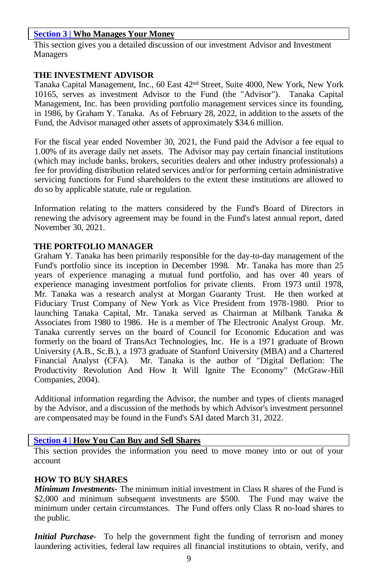# **Section 3 | Who Manages Your Money**

This section gives you a detailed discussion of our investment Advisor and Investment Managers

# **THE INVESTMENT ADVISOR**

Tanaka Capital Management, Inc., 60 East 42nd Street, Suite 4000, New York, New York 10165, serves as investment Advisor to the Fund (the "Advisor"). Tanaka Capital Management, Inc. has been providing portfolio management services since its founding, in 1986, by Graham Y. Tanaka. As of February 28, 2022, in addition to the assets of the Fund, the Advisor managed other assets of approximately \$34.6 million.

For the fiscal year ended November 30, 2021, the Fund paid the Advisor a fee equal to 1.00% of its average daily net assets. The Advisor may pay certain financial institutions (which may include banks, brokers, securities dealers and other industry professionals) a fee for providing distribution related services and/or for performing certain administrative servicing functions for Fund shareholders to the extent these institutions are allowed to do so by applicable statute, rule or regulation.

Information relating to the matters considered by the Fund's Board of Directors in renewing the advisory agreement may be found in the Fund's latest annual report, dated November 30, 2021.

## **THE PORTFOLIO MANAGER**

Graham Y. Tanaka has been primarily responsible for the day-to-day management of the Fund's portfolio since its inception in December 1998. Mr. Tanaka has more than 25 years of experience managing a mutual fund portfolio, and has over 40 years of experience managing investment portfolios for private clients. From 1973 until 1978, Mr. Tanaka was a research analyst at Morgan Guaranty Trust. He then worked at Fiduciary Trust Company of New York as Vice President from 1978-1980. Prior to launching Tanaka Capital, Mr. Tanaka served as Chairman at Milbank Tanaka & Associates from 1980 to 1986. He is a member of The Electronic Analyst Group. Mr. Tanaka currently serves on the board of Council for Economic Education and was formerly on the board of TransAct Technologies, Inc. He is a 1971 graduate of Brown University (A.B., Sc.B.), a 1973 graduate of Stanford University (MBA) and a Chartered Financial Analyst (CFA). Mr. Tanaka is the author of "Digital Deflation: The Productivity Revolution And How It Will Ignite The Economy" (McGraw-Hill Companies, 2004).

Additional information regarding the Advisor, the number and types of clients managed by the Advisor, and a discussion of the methods by which Advisor's investment personnel are compensated may be found in the Fund's SAI dated March 31, 2022.

# **Section 4 | How You Can Buy and Sell Shares**

This section provides the information you need to move money into or out of your account

# **HOW TO BUY SHARES**

*Minimum Investments-* The minimum initial investment in Class R shares of the Fund is \$2,000 and minimum subsequent investments are \$500. The Fund may waive the minimum under certain circumstances. The Fund offers only Class R no-load shares to the public.

*Initial Purchase*- To help the government fight the funding of terrorism and money laundering activities, federal law requires all financial institutions to obtain, verify, and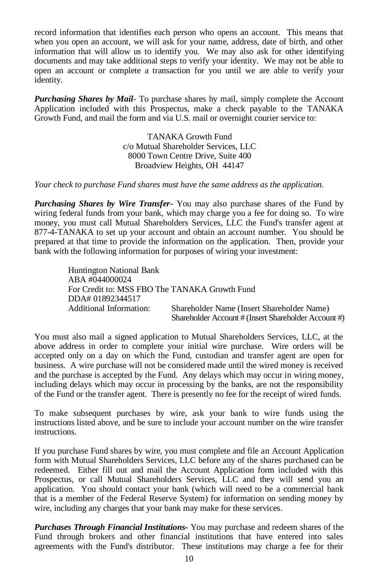record information that identifies each person who opens an account. This means that when you open an account, we will ask for your name, address, date of birth, and other information that will allow us to identify you. We may also ask for other identifying documents and may take additional steps to verify your identity. We may not be able to open an account or complete a transaction for you until we are able to verify your identity.

*Purchasing Shares by Mail-* To purchase shares by mail, simply complete the Account Application included with this Prospectus, make a check payable to the TANAKA Growth Fund, and mail the form and via U.S. mail or overnight courier service to:

> TANAKA Growth Fund c/o Mutual Shareholder Services, LLC 8000 Town Centre Drive, Suite 400 Broadview Heights, OH 44147

*Your check to purchase Fund shares must have the same address as the application.*

*Purchasing Shares by Wire Transfer***-** You may also purchase shares of the Fund by wiring federal funds from your bank, which may charge you a fee for doing so. To wire money, you must call Mutual Shareholders Services, LLC the Fund's transfer agent at 877-4-TANAKA to set up your account and obtain an account number. You should be prepared at that time to provide the information on the application. Then, provide your bank with the following information for purposes of wiring your investment:

| <b>Huntington National Bank</b>               |                                                      |
|-----------------------------------------------|------------------------------------------------------|
| ABA #044000024                                |                                                      |
| For Credit to: MSS FBO The TANAKA Growth Fund |                                                      |
| DDA# 01892344517                              |                                                      |
| Additional Information:                       | Shareholder Name (Insert Shareholder Name)           |
|                                               | Shareholder Account # (Insert Shareholder Account #) |

You must also mail a signed application to Mutual Shareholders Services, LLC, at the above address in order to complete your initial wire purchase. Wire orders will be accepted only on a day on which the Fund, custodian and transfer agent are open for business. A wire purchase will not be considered made until the wired money is received and the purchase is accepted by the Fund. Any delays which may occur in wiring money, including delays which may occur in processing by the banks, are not the responsibility of the Fund or the transfer agent. There is presently no fee for the receipt of wired funds.

To make subsequent purchases by wire, ask your bank to wire funds using the instructions listed above, and be sure to include your account number on the wire transfer instructions.

If you purchase Fund shares by wire, you must complete and file an Account Application form with Mutual Shareholders Services, LLC before any of the shares purchased can be redeemed. Either fill out and mail the Account Application form included with this Prospectus, or call Mutual Shareholders Services, LLC and they will send you an application. You should contact your bank (which will need to be a commercial bank that is a member of the Federal Reserve System) for information on sending money by wire, including any charges that your bank may make for these services.

*Purchases Through Financial Institutions-* You may purchase and redeem shares of the Fund through brokers and other financial institutions that have entered into sales agreements with the Fund's distributor. These institutions may charge a fee for their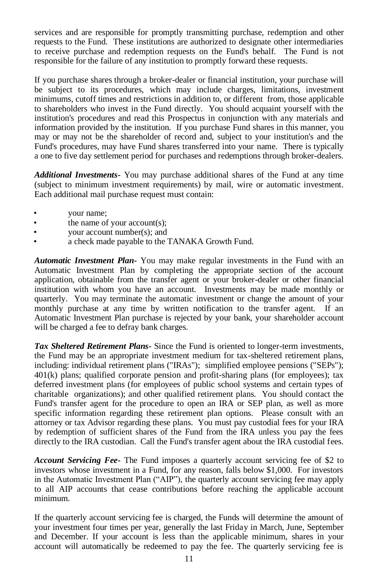services and are responsible for promptly transmitting purchase, redemption and other requests to the Fund. These institutions are authorized to designate other intermediaries to receive purchase and redemption requests on the Fund's behalf. The Fund is not responsible for the failure of any institution to promptly forward these requests.

If you purchase shares through a broker-dealer or financial institution, your purchase will be subject to its procedures, which may include charges, limitations, investment minimums, cutoff times and restrictions in addition to, or different from, those applicable to shareholders who invest in the Fund directly. You should acquaint yourself with the institution's procedures and read this Prospectus in conjunction with any materials and information provided by the institution. If you purchase Fund shares in this manner, you may or may not be the shareholder of record and, subject to your institution's and the Fund's procedures, may have Fund shares transferred into your name. There is typically a one to five day settlement period for purchases and redemptions through broker-dealers.

*Additional Investments-* You may purchase additional shares of the Fund at any time (subject to minimum investment requirements) by mail, wire or automatic investment. Each additional mail purchase request must contain:

- your name;
- the name of your account(s);
- your account number(s); and
- a check made payable to the TANAKA Growth Fund.

*Automatic Investment Plan-* You may make regular investments in the Fund with an Automatic Investment Plan by completing the appropriate section of the account application, obtainable from the transfer agent or your broker-dealer or other financial institution with whom you have an account. Investments may be made monthly or quarterly. You may terminate the automatic investment or change the amount of your monthly purchase at any time by written notification to the transfer agent. If an Automatic Investment Plan purchase is rejected by your bank, your shareholder account will be charged a fee to defray bank charges.

*Tax Sheltered Retirement Plans-* Since the Fund is oriented to longer-term investments, the Fund may be an appropriate investment medium for tax-sheltered retirement plans, including: individual retirement plans ("IRAs"); simplified employee pensions ("SEPs"); 401(k) plans; qualified corporate pension and profit-sharing plans (for employees); tax deferred investment plans (for employees of public school systems and certain types of charitable organizations); and other qualified retirement plans. You should contact the Fund's transfer agent for the procedure to open an IRA or SEP plan, as well as more specific information regarding these retirement plan options. Please consult with an attorney or tax Advisor regarding these plans. You must pay custodial fees for your IRA by redemption of sufficient shares of the Fund from the IRA unless you pay the fees directly to the IRA custodian. Call the Fund's transfer agent about the IRA custodial fees.

*Account Servicing Fee-* The Fund imposes a quarterly account servicing fee of \$2 to investors whose investment in a Fund, for any reason, falls below \$1,000. For investors in the Automatic Investment Plan ("AIP"), the quarterly account servicing fee may apply to all AIP accounts that cease contributions before reaching the applicable account minimum.

If the quarterly account servicing fee is charged, the Funds will determine the amount of your investment four times per year, generally the last Friday in March, June, September and December. If your account is less than the applicable minimum, shares in your account will automatically be redeemed to pay the fee. The quarterly servicing fee is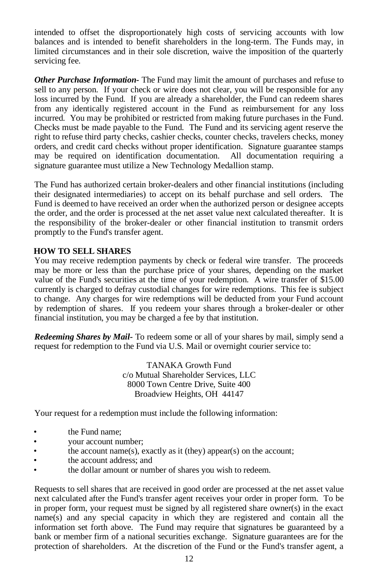intended to offset the disproportionately high costs of servicing accounts with low balances and is intended to benefit shareholders in the long-term. The Funds may, in limited circumstances and in their sole discretion, waive the imposition of the quarterly servicing fee.

*Other Purchase Information-* The Fund may limit the amount of purchases and refuse to sell to any person. If your check or wire does not clear, you will be responsible for any loss incurred by the Fund. If you are already a shareholder, the Fund can redeem shares from any identically registered account in the Fund as reimbursement for any loss incurred. You may be prohibited or restricted from making future purchases in the Fund. Checks must be made payable to the Fund. The Fund and its servicing agent reserve the right to refuse third party checks, cashier checks, counter checks, travelers checks, money orders, and credit card checks without proper identification. Signature guarantee stamps may be required on identification documentation. All documentation requiring a signature guarantee must utilize a New Technology Medallion stamp.

The Fund has authorized certain broker-dealers and other financial institutions (including their designated intermediaries) to accept on its behalf purchase and sell orders. The Fund is deemed to have received an order when the authorized person or designee accepts the order, and the order is processed at the net asset value next calculated thereafter. It is the responsibility of the broker-dealer or other financial institution to transmit orders promptly to the Fund's transfer agent.

# **HOW TO SELL SHARES**

You may receive redemption payments by check or federal wire transfer. The proceeds may be more or less than the purchase price of your shares, depending on the market value of the Fund's securities at the time of your redemption. A wire transfer of \$15.00 currently is charged to defray custodial changes for wire redemptions. This fee is subject to change. Any charges for wire redemptions will be deducted from your Fund account by redemption of shares. If you redeem your shares through a broker-dealer or other financial institution, you may be charged a fee by that institution.

*Redeeming Shares by Mail-* To redeem some or all of your shares by mail, simply send a request for redemption to the Fund via U.S. Mail or overnight courier service to:

> TANAKA Growth Fund c/o Mutual Shareholder Services, LLC 8000 Town Centre Drive, Suite 400 Broadview Heights, OH 44147

Your request for a redemption must include the following information:

- the Fund name;
- your account number;
- the account name(s), exactly as it (they) appear(s) on the account;
- the account address; and
- the dollar amount or number of shares you wish to redeem.

Requests to sell shares that are received in good order are processed at the net asset value next calculated after the Fund's transfer agent receives your order in proper form. To be in proper form, your request must be signed by all registered share owner(s) in the exact name(s) and any special capacity in which they are registered and contain all the information set forth above. The Fund may require that signatures be guaranteed by a bank or member firm of a national securities exchange. Signature guarantees are for the protection of shareholders. At the discretion of the Fund or the Fund's transfer agent, a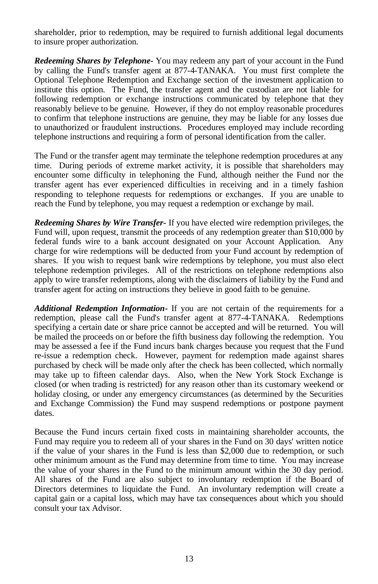shareholder, prior to redemption, may be required to furnish additional legal documents to insure proper authorization.

*Redeeming Shares by Telephone***-** You may redeem any part of your account in the Fund by calling the Fund's transfer agent at 877-4-TANAKA. You must first complete the Optional Telephone Redemption and Exchange section of the investment application to institute this option. The Fund, the transfer agent and the custodian are not liable for following redemption or exchange instructions communicated by telephone that they reasonably believe to be genuine. However, if they do not employ reasonable procedures to confirm that telephone instructions are genuine, they may be liable for any losses due to unauthorized or fraudulent instructions. Procedures employed may include recording telephone instructions and requiring a form of personal identification from the caller.

The Fund or the transfer agent may terminate the telephone redemption procedures at any time. During periods of extreme market activity, it is possible that shareholders may encounter some difficulty in telephoning the Fund, although neither the Fund nor the transfer agent has ever experienced difficulties in receiving and in a timely fashion responding to telephone requests for redemptions or exchanges. If you are unable to reach the Fund by telephone, you may request a redemption or exchange by mail.

*Redeeming Shares by Wire Transfer-* If you have elected wire redemption privileges, the Fund will, upon request, transmit the proceeds of any redemption greater than \$10,000 by federal funds wire to a bank account designated on your Account Application. Any charge for wire redemptions will be deducted from your Fund account by redemption of shares. If you wish to request bank wire redemptions by telephone, you must also elect telephone redemption privileges. All of the restrictions on telephone redemptions also apply to wire transfer redemptions, along with the disclaimers of liability by the Fund and transfer agent for acting on instructions they believe in good faith to be genuine.

*Additional Redemption Information-* If you are not certain of the requirements for a redemption, please call the Fund's transfer agent at 877-4-TANAKA. Redemptions specifying a certain date or share price cannot be accepted and will be returned. You will be mailed the proceeds on or before the fifth business day following the redemption. You may be assessed a fee if the Fund incurs bank charges because you request that the Fund re-issue a redemption check. However, payment for redemption made against shares purchased by check will be made only after the check has been collected, which normally may take up to fifteen calendar days. Also, when the New York Stock Exchange is closed (or when trading is restricted) for any reason other than its customary weekend or holiday closing, or under any emergency circumstances (as determined by the Securities and Exchange Commission) the Fund may suspend redemptions or postpone payment dates.

Because the Fund incurs certain fixed costs in maintaining shareholder accounts, the Fund may require you to redeem all of your shares in the Fund on 30 days' written notice if the value of your shares in the Fund is less than \$2,000 due to redemption, or such other minimum amount as the Fund may determine from time to time. You may increase the value of your shares in the Fund to the minimum amount within the 30 day period. All shares of the Fund are also subject to involuntary redemption if the Board of Directors determines to liquidate the Fund. An involuntary redemption will create a capital gain or a capital loss, which may have tax consequences about which you should consult your tax Advisor.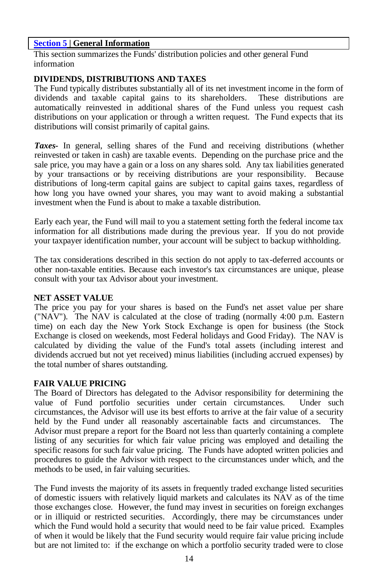## **Section 5 | General Information**

This section summarizes the Funds' distribution policies and other general Fund information

# **DIVIDENDS, DISTRIBUTIONS AND TAXES**

The Fund typically distributes substantially all of its net investment income in the form of dividends and taxable capital gains to its shareholders. These distributions are automatically reinvested in additional shares of the Fund unless you request cash distributions on your application or through a written request. The Fund expects that its distributions will consist primarily of capital gains.

*Taxes-* In general, selling shares of the Fund and receiving distributions (whether reinvested or taken in cash) are taxable events. Depending on the purchase price and the sale price, you may have a gain or a loss on any shares sold. Any tax liabilities generated by your transactions or by receiving distributions are your responsibility. Because distributions of long-term capital gains are subject to capital gains taxes, regardless of how long you have owned your shares, you may want to avoid making a substantial investment when the Fund is about to make a taxable distribution.

Early each year, the Fund will mail to you a statement setting forth the federal income tax information for all distributions made during the previous year. If you do not provide your taxpayer identification number, your account will be subject to backup withholding.

The tax considerations described in this section do not apply to tax-deferred accounts or other non-taxable entities. Because each investor's tax circumstances are unique, please consult with your tax Advisor about your investment.

## **NET ASSET VALUE**

The price you pay for your shares is based on the Fund's net asset value per share ("NAV"). The NAV is calculated at the close of trading (normally 4:00 p.m. Eastern time) on each day the New York Stock Exchange is open for business (the Stock Exchange is closed on weekends, most Federal holidays and Good Friday). The NAV is calculated by dividing the value of the Fund's total assets (including interest and dividends accrued but not yet received) minus liabilities (including accrued expenses) by the total number of shares outstanding.

#### **FAIR VALUE PRICING**

The Board of Directors has delegated to the Advisor responsibility for determining the value of Fund portfolio securities under certain circumstances. Under such circumstances, the Advisor will use its best efforts to arrive at the fair value of a security held by the Fund under all reasonably ascertainable facts and circumstances. The Advisor must prepare a report for the Board not less than quarterly containing a complete listing of any securities for which fair value pricing was employed and detailing the specific reasons for such fair value pricing. The Funds have adopted written policies and procedures to guide the Advisor with respect to the circumstances under which, and the methods to be used, in fair valuing securities.

The Fund invests the majority of its assets in frequently traded exchange listed securities of domestic issuers with relatively liquid markets and calculates its NAV as of the time those exchanges close. However, the fund may invest in securities on foreign exchanges or in illiquid or restricted securities. Accordingly, there may be circumstances under which the Fund would hold a security that would need to be fair value priced. Examples of when it would be likely that the Fund security would require fair value pricing include but are not limited to: if the exchange on which a portfolio security traded were to close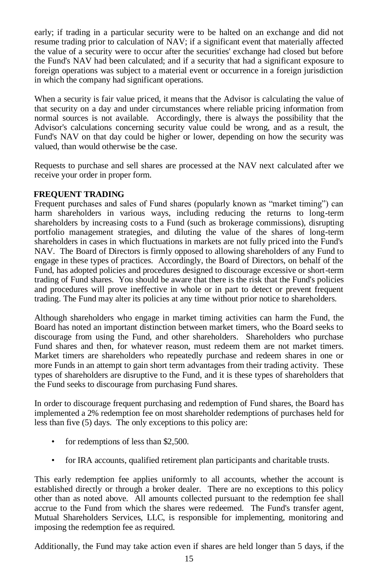early; if trading in a particular security were to be halted on an exchange and did not resume trading prior to calculation of NAV; if a significant event that materially affected the value of a security were to occur after the securities' exchange had closed but before the Fund's NAV had been calculated; and if a security that had a significant exposure to foreign operations was subject to a material event or occurrence in a foreign jurisdiction in which the company had significant operations.

When a security is fair value priced, it means that the Advisor is calculating the value of that security on a day and under circumstances where reliable pricing information from normal sources is not available. Accordingly, there is always the possibility that the Advisor's calculations concerning security value could be wrong, and as a result, the Fund's NAV on that day could be higher or lower, depending on how the security was valued, than would otherwise be the case.

Requests to purchase and sell shares are processed at the NAV next calculated after we receive your order in proper form.

# **FREQUENT TRADING**

Frequent purchases and sales of Fund shares (popularly known as "market timing") can harm shareholders in various ways, including reducing the returns to long-term shareholders by increasing costs to a Fund (such as brokerage commissions), disrupting portfolio management strategies, and diluting the value of the shares of long-term shareholders in cases in which fluctuations in markets are not fully priced into the Fund's NAV. The Board of Directors is firmly opposed to allowing shareholders of any Fund to engage in these types of practices. Accordingly, the Board of Directors, on behalf of the Fund, has adopted policies and procedures designed to discourage excessive or short-term trading of Fund shares. You should be aware that there is the risk that the Fund's policies and procedures will prove ineffective in whole or in part to detect or prevent frequent trading. The Fund may alter its policies at any time without prior notice to shareholders.

Although shareholders who engage in market timing activities can harm the Fund, the Board has noted an important distinction between market timers, who the Board seeks to discourage from using the Fund, and other shareholders. Shareholders who purchase Fund shares and then, for whatever reason, must redeem them are not market timers. Market timers are shareholders who repeatedly purchase and redeem shares in one or more Funds in an attempt to gain short term advantages from their trading activity. These types of shareholders are disruptive to the Fund, and it is these types of shareholders that the Fund seeks to discourage from purchasing Fund shares.

In order to discourage frequent purchasing and redemption of Fund shares, the Board has implemented a 2% redemption fee on most shareholder redemptions of purchases held for less than five (5) days. The only exceptions to this policy are:

- for redemptions of less than \$2,500.
- for IRA accounts, qualified retirement plan participants and charitable trusts.

This early redemption fee applies uniformly to all accounts, whether the account is established directly or through a broker dealer. There are no exceptions to this policy other than as noted above. All amounts collected pursuant to the redemption fee shall accrue to the Fund from which the shares were redeemed. The Fund's transfer agent, Mutual Shareholders Services, LLC, is responsible for implementing, monitoring and imposing the redemption fee as required.

Additionally, the Fund may take action even if shares are held longer than 5 days, if the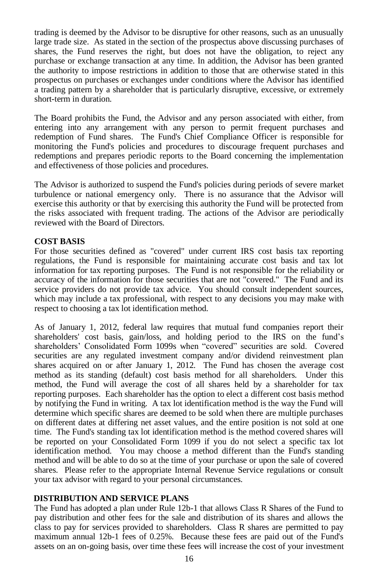trading is deemed by the Advisor to be disruptive for other reasons, such as an unusually large trade size. As stated in the section of the prospectus above discussing purchases of shares, the Fund reserves the right, but does not have the obligation, to reject any purchase or exchange transaction at any time. In addition, the Advisor has been granted the authority to impose restrictions in addition to those that are otherwise stated in this prospectus on purchases or exchanges under conditions where the Advisor has identified a trading pattern by a shareholder that is particularly disruptive, excessive, or extremely short-term in duration.

The Board prohibits the Fund, the Advisor and any person associated with either, from entering into any arrangement with any person to permit frequent purchases and redemption of Fund shares. The Fund's Chief Compliance Officer is responsible for monitoring the Fund's policies and procedures to discourage frequent purchases and redemptions and prepares periodic reports to the Board concerning the implementation and effectiveness of those policies and procedures.

The Advisor is authorized to suspend the Fund's policies during periods of severe market turbulence or national emergency only. There is no assurance that the Advisor will exercise this authority or that by exercising this authority the Fund will be protected from the risks associated with frequent trading. The actions of the Advisor are periodically reviewed with the Board of Directors.

## **COST BASIS**

For those securities defined as "covered" under current IRS cost basis tax reporting regulations, the Fund is responsible for maintaining accurate cost basis and tax lot information for tax reporting purposes. The Fund is not responsible for the reliability or accuracy of the information for those securities that are not "covered." The Fund and its service providers do not provide tax advice. You should consult independent sources, which may include a tax professional, with respect to any decisions you may make with respect to choosing a tax lot identification method.

As of January 1, 2012, federal law requires that mutual fund companies report their shareholders' cost basis, gain/loss, and holding period to the IRS on the fund's shareholders' Consolidated Form 1099s when "covered" securities are sold. Covered securities are any regulated investment company and/or dividend reinvestment plan shares acquired on or after January 1, 2012. The Fund has chosen the average cost method as its standing (default) cost basis method for all shareholders. Under this method, the Fund will average the cost of all shares held by a shareholder for tax reporting purposes. Each shareholder has the option to elect a different cost basis method by notifying the Fund in writing. A tax lot identification method is the way the Fund will determine which specific shares are deemed to be sold when there are multiple purchases on different dates at differing net asset values, and the entire position is not sold at one time. The Fund's standing tax lot identification method is the method covered shares will be reported on your Consolidated Form 1099 if you do not select a specific tax lot identification method. You may choose a method different than the Fund's standing method and will be able to do so at the time of your purchase or upon the sale of covered shares. Please refer to the appropriate Internal Revenue Service regulations or consult your tax advisor with regard to your personal circumstances.

# **DISTRIBUTION AND SERVICE PLANS**

The Fund has adopted a plan under Rule 12b-1 that allows Class R Shares of the Fund to pay distribution and other fees for the sale and distribution of its shares and allows the class to pay for services provided to shareholders. Class R shares are permitted to pay maximum annual 12b-1 fees of 0.25%. Because these fees are paid out of the Fund's assets on an on-going basis, over time these fees will increase the cost of your investment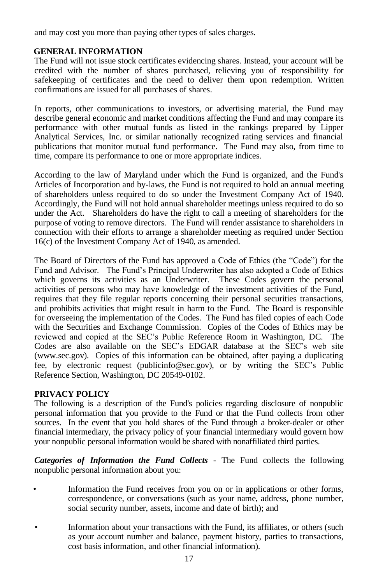and may cost you more than paying other types of sales charges.

# **GENERAL INFORMATION**

The Fund will not issue stock certificates evidencing shares. Instead, your account will be credited with the number of shares purchased, relieving you of responsibility for safekeeping of certificates and the need to deliver them upon redemption. Written confirmations are issued for all purchases of shares.

In reports, other communications to investors, or advertising material, the Fund may describe general economic and market conditions affecting the Fund and may compare its performance with other mutual funds as listed in the rankings prepared by Lipper Analytical Services, Inc. or similar nationally recognized rating services and financial publications that monitor mutual fund performance. The Fund may also, from time to time, compare its performance to one or more appropriate indices.

According to the law of Maryland under which the Fund is organized, and the Fund's Articles of Incorporation and by-laws, the Fund is not required to hold an annual meeting of shareholders unless required to do so under the Investment Company Act of 1940. Accordingly, the Fund will not hold annual shareholder meetings unless required to do so under the Act. Shareholders do have the right to call a meeting of shareholders for the purpose of voting to remove directors. The Fund will render assistance to shareholders in connection with their efforts to arrange a shareholder meeting as required under Section 16(c) of the Investment Company Act of 1940, as amended.

The Board of Directors of the Fund has approved a Code of Ethics (the "Code") for the Fund and Advisor. The Fund's Principal Underwriter has also adopted a Code of Ethics which governs its activities as an Underwriter. These Codes govern the personal activities of persons who may have knowledge of the investment activities of the Fund, requires that they file regular reports concerning their personal securities transactions, and prohibits activities that might result in harm to the Fund. The Board is responsible for overseeing the implementation of the Codes. The Fund has filed copies of each Code with the Securities and Exchange Commission. Copies of the Codes of Ethics may be reviewed and copied at the SEC's Public Reference Room in Washington, DC. The Codes are also available on the SEC's EDGAR database at the SEC's web site (www.sec.gov). Copies of this information can be obtained, after paying a duplicating fee, by electronic request (publicinfo@sec.gov), or by writing the SEC's Public Reference Section, Washington, DC 20549-0102.

# **PRIVACY POLICY**

The following is a description of the Fund's policies regarding disclosure of nonpublic personal information that you provide to the Fund or that the Fund collects from other sources. In the event that you hold shares of the Fund through a broker-dealer or other financial intermediary, the privacy policy of your financial intermediary would govern how your nonpublic personal information would be shared with nonaffiliated third parties.

*Categories of Information the Fund Collects* - The Fund collects the following nonpublic personal information about you:

- Information the Fund receives from you on or in applications or other forms, correspondence, or conversations (such as your name, address, phone number, social security number, assets, income and date of birth); and
- Information about your transactions with the Fund, its affiliates, or others (such as your account number and balance, payment history, parties to transactions, cost basis information, and other financial information).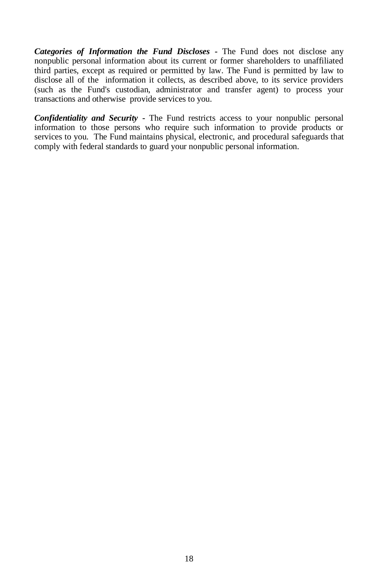*Categories of Information the Fund Discloses* **-** The Fund does not disclose any nonpublic personal information about its current or former shareholders to unaffiliated third parties, except as required or permitted by law. The Fund is permitted by law to disclose all of the information it collects, as described above, to its service providers (such as the Fund's custodian, administrator and transfer agent) to process your transactions and otherwise provide services to you.

*Confidentiality and Security* **-** The Fund restricts access to your nonpublic personal information to those persons who require such information to provide products or services to you. The Fund maintains physical, electronic, and procedural safeguards that comply with federal standards to guard your nonpublic personal information.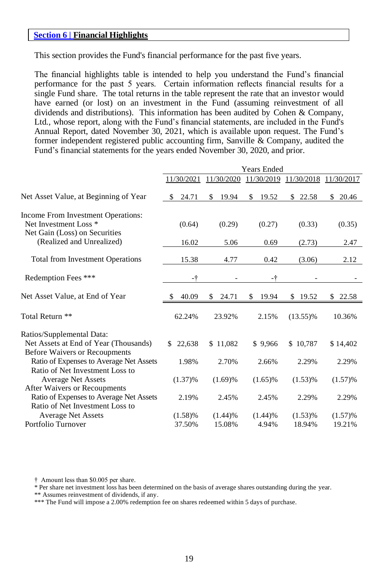#### **Section 6 | Financial Highlights**

This section provides the Fund's financial performance for the past five years.

The financial highlights table is intended to help you understand the Fund's financial performance for the past 5 years. Certain information reflects financial results for a single Fund share. The total returns in the table represent the rate that an investor would have earned (or lost) on an investment in the Fund (assuming reinvestment of all dividends and distributions). This information has been audited by Cohen & Company, Ltd., whose report, along with the Fund's financial statements, are included in the Fund's Annual Report, dated November 30, 2021, which is available upon request. The Fund's former independent registered public accounting firm, Sanville & Company, audited the Fund's financial statements for the years ended November 30, 2020, and prior.

|                                                                                                         | <b>Years Ended</b> |             |                                             |             |             |
|---------------------------------------------------------------------------------------------------------|--------------------|-------------|---------------------------------------------|-------------|-------------|
|                                                                                                         | 11/30/2021         |             | 11/30/2020 11/30/2019 11/30/2018 11/30/2017 |             |             |
| Net Asset Value, at Beginning of Year                                                                   | 24.71<br>\$.       | \$<br>19.94 | \$<br>19.52                                 | 22.58<br>\$ | 20.46<br>\$ |
| Income From Investment Operations:<br>Net Investment Loss <sup>*</sup><br>Net Gain (Loss) on Securities | (0.64)             | (0.29)      | (0.27)                                      | (0.33)      | (0.35)      |
| (Realized and Unrealized)                                                                               | 16.02              | 5.06        | 0.69                                        | (2.73)      | 2.47        |
| <b>Total from Investment Operations</b>                                                                 | 15.38              | 4.77        | 0.42                                        | (3.06)      | 2.12        |
| Redemption Fees ***                                                                                     | -†                 |             | -†                                          |             |             |
| Net Asset Value, at End of Year                                                                         | 40.09              | \$<br>24.71 | \$<br>19.94                                 | \$19.52     | \$22.58     |
| Total Return **                                                                                         | 62.24%             | 23.92%      | 2.15%                                       | $(13.55)\%$ | 10.36%      |
| Ratios/Supplemental Data:<br>Net Assets at End of Year (Thousands)                                      | 22,638<br>S.       | \$11,082    | \$9,966                                     | \$10,787    | \$14,402    |
| <b>Before Waivers or Recoupments</b>                                                                    |                    |             |                                             |             |             |
| Ratio of Expenses to Average Net Assets<br>Ratio of Net Investment Loss to                              | 1.98%              | 2.70%       | 2.66%                                       | 2.29%       | 2.29%       |
| <b>Average Net Assets</b><br>After Waivers or Recoupments                                               | $(1.37)\%$         | (1.69)%     | $(1.65)\%$                                  | (1.53)%     | (1.57)%     |
| Ratio of Expenses to Average Net Assets<br>Ratio of Net Investment Loss to                              | 2.19%              | 2.45%       | 2.45%                                       | 2.29%       | 2.29%       |
| <b>Average Net Assets</b>                                                                               | $(1.58)\%$         | (1.44)%     | (1.44)%                                     | $(1.53)$ %  | (1.57)%     |
| Portfolio Turnover                                                                                      | 37.50%             | 15.08%      | 4.94%                                       | 18.94%      | 19.21%      |

† Amount less than \$0.005 per share.

\* Per share net investment loss has been determined on the basis of average shares outstanding during the year.

\*\* Assumes reinvestment of dividends, if any.

\*\*\* The Fund will impose a 2.00% redemption fee on shares redeemed within 5 days of purchase.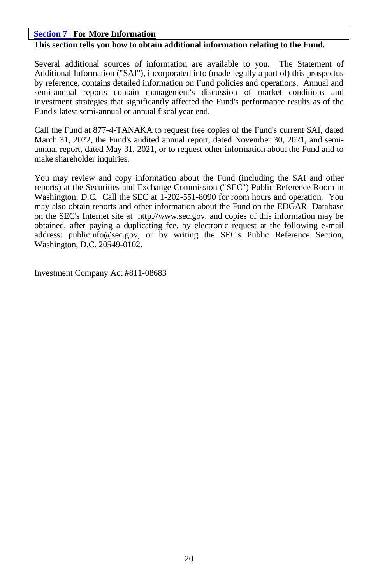## **Section 7 | For More Information**

## **This section tells you how to obtain additional information relating to the Fund.**

Several additional sources of information are available to you. The Statement of Additional Information ("SAI"), incorporated into (made legally a part of) this prospectus by reference, contains detailed information on Fund policies and operations. Annual and semi-annual reports contain management's discussion of market conditions and investment strategies that significantly affected the Fund's performance results as of the Fund's latest semi-annual or annual fiscal year end.

Call the Fund at 877-4-TANAKA to request free copies of the Fund's current SAI, dated March 31, 2022, the Fund's audited annual report, dated November 30, 2021, and semiannual report, dated May 31, 2021, or to request other information about the Fund and to make shareholder inquiries.

You may review and copy information about the Fund (including the SAI and other reports) at the Securities and Exchange Commission ("SEC") Public Reference Room in Washington, D.C. Call the SEC at 1-202-551-8090 for room hours and operation. You may also obtain reports and other information about the Fund on the EDGAR Database on the SEC's Internet site at http.//www.sec.gov, and copies of this information may be obtained, after paying a duplicating fee, by electronic request at the following e-mail address: publicinfo@sec.gov, or by writing the SEC's Public Reference Section, Washington, D.C. 20549-0102.

Investment Company Act #811-08683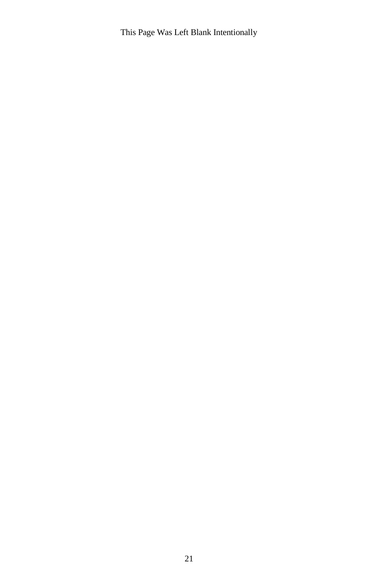This Page Was Left Blank Intentionally